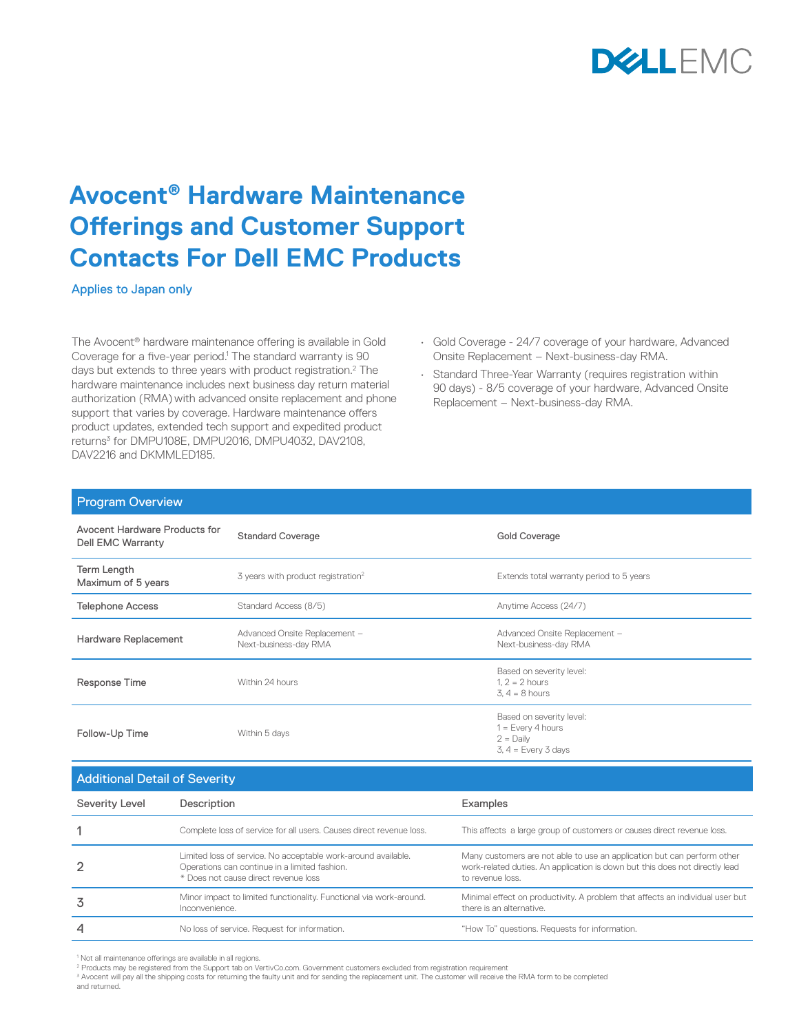

## **Avocent® Hardware Maintenance Offerings and Customer Support Contacts For Dell EMC Products**

Applies to Japan only

The Avocent® hardware maintenance offering is available in Gold Coverage for a five-year period.<sup>1</sup> The standard warranty is 90 days but extends to three years with product registration.<sup>2</sup> The hardware maintenance includes next business day return material authorization (RMA) with advanced onsite replacement and phone support that varies by coverage. Hardware maintenance offers product updates, extended tech support and expedited product returns<sup>3</sup> for DMPU108E, DMPU2016, DMPU4032, DAV2108, DAV2216 and DKMMLED185.

- Gold Coverage 24/7 coverage of your hardware, Advanced Onsite Replacement – Next-business-day RMA.
- Standard Three-Year Warranty (requires registration within 90 days) - 8/5 coverage of your hardware, Advanced Onsite Replacement – Next-business-day RMA.

Minimal effect on productivity. A problem that affects an individual user but

there is an alternative.

| <b>Program Overview</b>                                   |                                                                                                                                                        |                                                                                                                                                                            |  |  |  |
|-----------------------------------------------------------|--------------------------------------------------------------------------------------------------------------------------------------------------------|----------------------------------------------------------------------------------------------------------------------------------------------------------------------------|--|--|--|
| Avocent Hardware Products for<br><b>Dell EMC Warranty</b> | <b>Standard Coverage</b>                                                                                                                               | <b>Gold Coverage</b>                                                                                                                                                       |  |  |  |
| Term Length<br>Maximum of 5 years                         | 3 years with product registration <sup>2</sup>                                                                                                         | Extends total warranty period to 5 years                                                                                                                                   |  |  |  |
| <b>Telephone Access</b>                                   | Standard Access (8/5)                                                                                                                                  | Anytime Access (24/7)                                                                                                                                                      |  |  |  |
| Hardware Replacement                                      | Advanced Onsite Replacement -<br>Next-business-day RMA                                                                                                 | Advanced Onsite Replacement -<br>Next-business-day RMA                                                                                                                     |  |  |  |
| Response Time                                             | Within 24 hours                                                                                                                                        | Based on severity level:<br>$1.2 = 2$ hours<br>$3.4 = 8$ hours                                                                                                             |  |  |  |
| Follow-Up Time                                            | Within 5 days                                                                                                                                          | Based on severity level:<br>$1 = Every 4 hours$<br>$2 =$ Daily<br>$3, 4 = Every 3 days$                                                                                    |  |  |  |
| <b>Additional Detail of Severity</b>                      |                                                                                                                                                        |                                                                                                                                                                            |  |  |  |
| Severity Level                                            | Description                                                                                                                                            | Examples                                                                                                                                                                   |  |  |  |
|                                                           | Complete loss of service for all users. Causes direct revenue loss.                                                                                    | This affects a large group of customers or causes direct revenue loss.                                                                                                     |  |  |  |
|                                                           | Limited loss of service. No acceptable work-around available.<br>Operations can continue in a limited fashion.<br>* Does not cause direct revenue loss | Many customers are not able to use an application but can perform other<br>work-related duties. An application is down but this does not directly lead<br>to revenue loss. |  |  |  |

Inconvenience.

**3** Minor impact to limited functionality. Functional via work-around.

<sup>3</sup> Avocent will pay all the shipping costs for returning the faulty unit and for sending the replacement unit. The customer will receive the RMA form to be completed

4 No loss of service. Request for information. "How To" questions. Requests for information.

and returned.

<sup>1</sup> Not all maintenance offerings are available in all regions. 2 Products may be registered from the Support tab on VertivCo.com. Government customers excluded from registration requirement